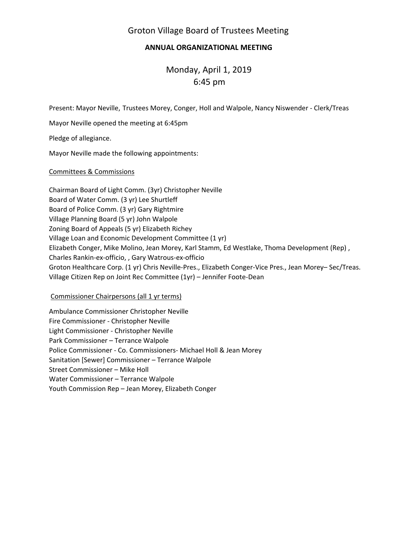# Groton Village Board of Trustees Meeting

## **ANNUAL ORGANIZATIONAL MEETING**

 Monday, April 1, 2019 6:45 pm

Present: Mayor Neville, Trustees Morey, Conger, Holl and Walpole, Nancy Niswender ‐ Clerk/Treas

Mayor Neville opened the meeting at 6:45pm

Pledge of allegiance.

Mayor Neville made the following appointments:

### Committees & Commissions

Chairman Board of Light Comm. (3yr) Christopher Neville Board of Water Comm. (3 yr) Lee Shurtleff Board of Police Comm. (3 yr) Gary Rightmire Village Planning Board (5 yr) John Walpole Zoning Board of Appeals (5 yr) Elizabeth Richey Village Loan and Economic Development Committee (1 yr) Elizabeth Conger, Mike Molino, Jean Morey, Karl Stamm, Ed Westlake, Thoma Development (Rep) , Charles Rankin‐ex‐officio, , Gary Watrous‐ex‐officio Groton Healthcare Corp. (1 yr) Chris Neville‐Pres., Elizabeth Conger‐Vice Pres., Jean Morey– Sec/Treas. Village Citizen Rep on Joint Rec Committee (1yr) – Jennifer Foote‐Dean

### Commissioner Chairpersons (all 1 yr terms)

Ambulance Commissioner Christopher Neville Fire Commissioner ‐ Christopher Neville Light Commissioner ‐ Christopher Neville Park Commissioner – Terrance Walpole Police Commissioner ‐ Co. Commissioners‐ Michael Holl & Jean Morey Sanitation [Sewer] Commissioner – Terrance Walpole Street Commissioner – Mike Holl Water Commissioner – Terrance Walpole Youth Commission Rep – Jean Morey, Elizabeth Conger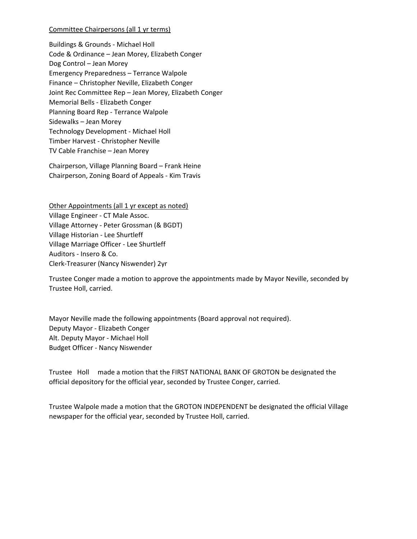#### Committee Chairpersons (all 1 yr terms)

Buildings & Grounds ‐ Michael Holl Code & Ordinance – Jean Morey, Elizabeth Conger Dog Control – Jean Morey Emergency Preparedness – Terrance Walpole Finance – Christopher Neville, Elizabeth Conger Joint Rec Committee Rep – Jean Morey, Elizabeth Conger Memorial Bells ‐ Elizabeth Conger Planning Board Rep ‐ Terrance Walpole Sidewalks – Jean Morey Technology Development ‐ Michael Holl Timber Harvest ‐ Christopher Neville TV Cable Franchise – Jean Morey

Chairperson, Village Planning Board – Frank Heine Chairperson, Zoning Board of Appeals ‐ Kim Travis

Other Appointments (all 1 yr except as noted) Village Engineer ‐ CT Male Assoc. Village Attorney ‐ Peter Grossman (& BGDT) Village Historian ‐ Lee Shurtleff Village Marriage Officer ‐ Lee Shurtleff Auditors ‐ Insero & Co. Clerk‐Treasurer (Nancy Niswender) 2yr

Trustee Conger made a motion to approve the appointments made by Mayor Neville, seconded by Trustee Holl, carried.

Mayor Neville made the following appointments (Board approval not required). Deputy Mayor ‐ Elizabeth Conger Alt. Deputy Mayor ‐ Michael Holl Budget Officer ‐ Nancy Niswender

Trustee Holl made a motion that the FIRST NATIONAL BANK OF GROTON be designated the official depository for the official year, seconded by Trustee Conger, carried.

Trustee Walpole made a motion that the GROTON INDEPENDENT be designated the official Village newspaper for the official year, seconded by Trustee Holl, carried.